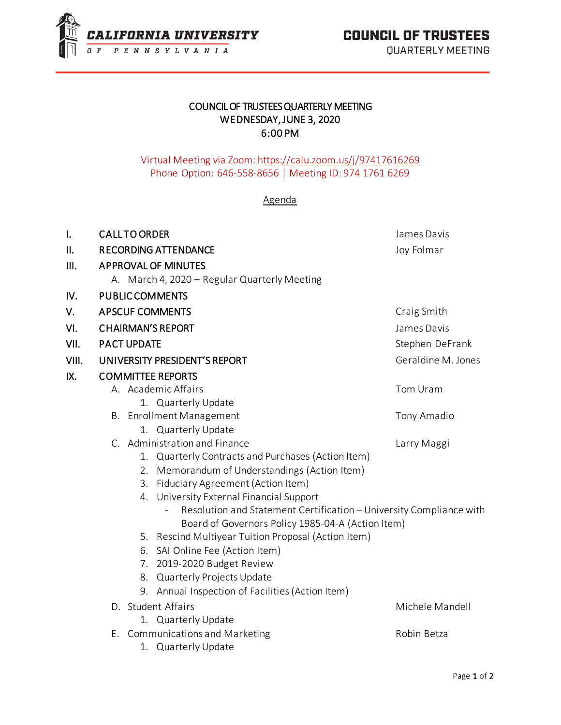

**QUARTERLY MEETING** 

## COUNCIL OF TRUSTEES QUARTERLY MEETING WEDNESDAY, JUNE 3, 2020 6:00 PM

## Virtual Meeting via Zoom[: https://calu.zoom.us/j/97417616269](https://calu.zoom.us/j/97417616269) Phone Option: 646-558-8656 | Meeting ID: 974 1761 6269

## Agenda

| l.    | <b>CALLTO ORDER</b>                                                                                      | James Davis        |
|-------|----------------------------------------------------------------------------------------------------------|--------------------|
| II.   | <b>RECORDING ATTENDANCE</b>                                                                              | Joy Folmar         |
| III.  | <b>APPROVAL OF MINUTES</b>                                                                               |                    |
|       | A. March 4, 2020 - Regular Quarterly Meeting                                                             |                    |
| IV.   | <b>PUBLIC COMMENTS</b>                                                                                   |                    |
| V.    | <b>APSCUF COMMENTS</b>                                                                                   | Craig Smith        |
| VI.   | <b>CHAIRMAN'S REPORT</b>                                                                                 | James Davis        |
| VII.  | <b>PACT UPDATE</b>                                                                                       | Stephen DeFrank    |
| VIII. | UNIVERSITY PRESIDENT'S REPORT                                                                            | Geraldine M. Jones |
| IX.   | <b>COMMITTEE REPORTS</b>                                                                                 |                    |
|       | A. Academic Affairs                                                                                      | Tom Uram           |
|       | 1. Quarterly Update                                                                                      |                    |
|       | <b>B.</b> Enrollment Management                                                                          | Tony Amadio        |
|       | 1. Quarterly Update                                                                                      |                    |
|       | C. Administration and Finance                                                                            | Larry Maggi        |
|       | 1. Quarterly Contracts and Purchases (Action Item)                                                       |                    |
|       | 2. Memorandum of Understandings (Action Item)                                                            |                    |
|       | Fiduciary Agreement (Action Item)<br>3.                                                                  |                    |
|       | 4. University External Financial Support                                                                 |                    |
|       | Resolution and Statement Certification - University Compliance with                                      |                    |
|       | Board of Governors Policy 1985-04-A (Action Item)<br>5. Rescind Multiyear Tuition Proposal (Action Item) |                    |
|       | 6. SAI Online Fee (Action Item)                                                                          |                    |
|       | 2019-2020 Budget Review<br>7.                                                                            |                    |
|       | 8. Quarterly Projects Update                                                                             |                    |
|       | 9. Annual Inspection of Facilities (Action Item)                                                         |                    |
|       | D. Student Affairs                                                                                       | Michele Mandell    |
|       | 1. Quarterly Update                                                                                      |                    |
|       | E. Communications and Marketing                                                                          | Robin Betza        |
|       | 1. Quarterly Update                                                                                      |                    |